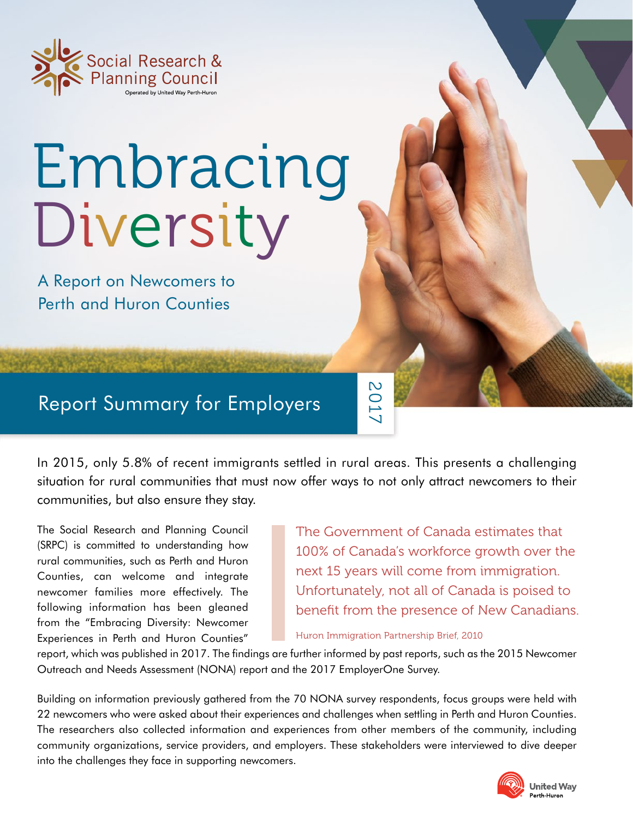

## Embracing Diversity

A Report on Newcomers to Perth and Huron Counties

## Report Summary for Employers

In 2015, only 5.8% of recent immigrants settled in rural areas. This presents a challenging situation for rural communities that must now offer ways to not only attract newcomers to their communities, but also ensure they stay.

The Social Research and Planning Council (SRPC) is committed to understanding how rural communities, such as Perth and Huron Counties, can welcome and integrate newcomer families more effectively. The following information has been gleaned from the "Embracing Diversity: Newcomer Experiences in Perth and Huron Counties"

The Government of Canada estimates that 100% of Canada's workforce growth over the next 15 years will come from immigration. Unfortunately, not all of Canada is poised to benefit from the presence of New Canadians.

Huron Immigration Partnership Brief, 2010

2017

report, which was published in 2017. The findings are further informed by past reports, such as the 2015 Newcomer Outreach and Needs Assessment (NONA) report and the 2017 EmployerOne Survey.

Building on information previously gathered from the 70 NONA survey respondents, focus groups were held with 22 newcomers who were asked about their experiences and challenges when settling in Perth and Huron Counties. The researchers also collected information and experiences from other members of the community, including community organizations, service providers, and employers. These stakeholders were interviewed to dive deeper into the challenges they face in supporting newcomers.